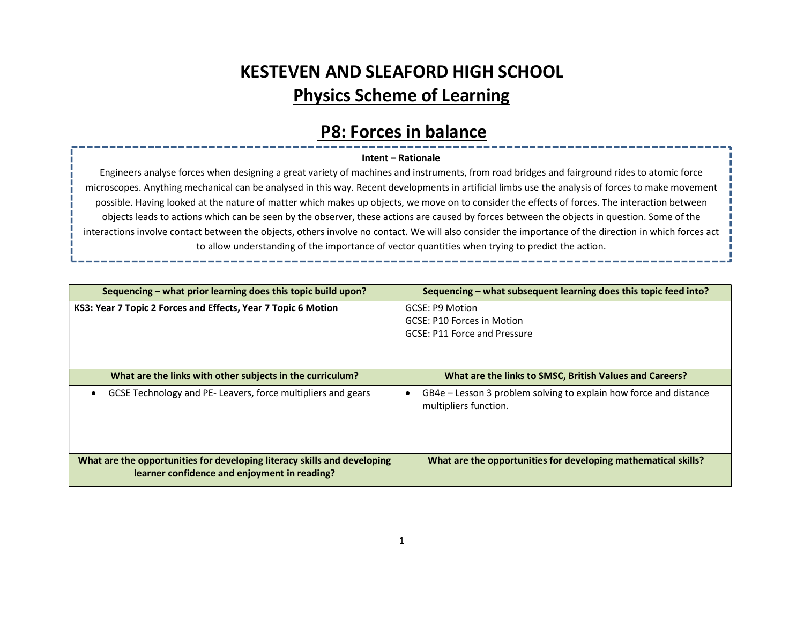# KESTEVEN AND SLEAFORD HIGH SCHOOL Physics Scheme of Learning

### P8: Forces in balance

#### Intent – Rationale

Engineers analyse forces when designing a great variety of machines and instruments, from road bridges and fairground rides to atomic force microscopes. Anything mechanical can be analysed in this way. Recent developments in artificial limbs use the analysis of forces to make movement possible. Having looked at the nature of matter which makes up objects, we move on to consider the effects of forces. The interaction between objects leads to actions which can be seen by the observer, these actions are caused by forces between the objects in question. Some of the interactions involve contact between the objects, others involve no contact. We will also consider the importance of the direction in which forces act to allow understanding of the importance of vector quantities when trying to predict the action.

| Sequencing – what prior learning does this topic build upon?                                                             | Sequencing – what subsequent learning does this topic feed into?                           |
|--------------------------------------------------------------------------------------------------------------------------|--------------------------------------------------------------------------------------------|
| KS3: Year 7 Topic 2 Forces and Effects, Year 7 Topic 6 Motion                                                            | GCSE: P9 Motion<br>GCSE: P10 Forces in Motion<br>GCSE: P11 Force and Pressure              |
| What are the links with other subjects in the curriculum?                                                                | What are the links to SMSC, British Values and Careers?                                    |
| GCSE Technology and PE- Leavers, force multipliers and gears                                                             | GB4e – Lesson 3 problem solving to explain how force and distance<br>multipliers function. |
| What are the opportunities for developing literacy skills and developing<br>learner confidence and enjoyment in reading? | What are the opportunities for developing mathematical skills?                             |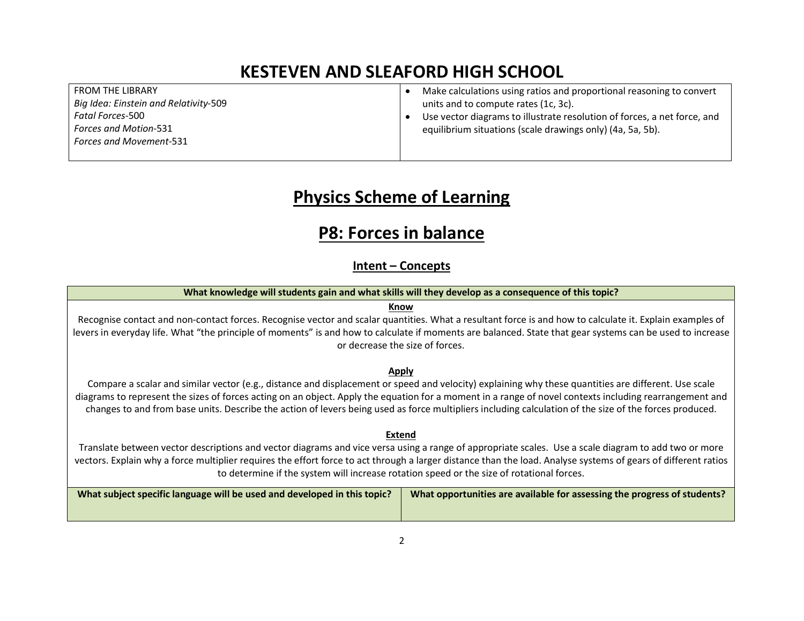FROM THE LIBRARY Big Idea: Einstein and Relativity-509 Fatal Forces-500 Forces and Motion-531 Forces and Movement-531

- Make calculations using ratios and proportional reasoning to convert units and to compute rates (1c, 3c).
- Use vector diagrams to illustrate resolution of forces, a net force, and equilibrium situations (scale drawings only) (4a, 5a, 5b).

## Physics Scheme of Learning

### P8: Forces in balance

#### Intent – Concepts

| What knowledge will students gain and what skills will they develop as a consequence of this topic?                                                                                                                                                                                                                                                                                                                                                                        |                                                                          |  |
|----------------------------------------------------------------------------------------------------------------------------------------------------------------------------------------------------------------------------------------------------------------------------------------------------------------------------------------------------------------------------------------------------------------------------------------------------------------------------|--------------------------------------------------------------------------|--|
| Know                                                                                                                                                                                                                                                                                                                                                                                                                                                                       |                                                                          |  |
| Recognise contact and non-contact forces. Recognise vector and scalar quantities. What a resultant force is and how to calculate it. Explain examples of<br>levers in everyday life. What "the principle of moments" is and how to calculate if moments are balanced. State that gear systems can be used to increase<br>or decrease the size of forces.                                                                                                                   |                                                                          |  |
| Apply                                                                                                                                                                                                                                                                                                                                                                                                                                                                      |                                                                          |  |
| Compare a scalar and similar vector (e.g., distance and displacement or speed and velocity) explaining why these quantities are different. Use scale<br>diagrams to represent the sizes of forces acting on an object. Apply the equation for a moment in a range of novel contexts including rearrangement and<br>changes to and from base units. Describe the action of levers being used as force multipliers including calculation of the size of the forces produced. |                                                                          |  |
| Extend                                                                                                                                                                                                                                                                                                                                                                                                                                                                     |                                                                          |  |
| Translate between vector descriptions and vector diagrams and vice versa using a range of appropriate scales. Use a scale diagram to add two or more<br>vectors. Explain why a force multiplier requires the effort force to act through a larger distance than the load. Analyse systems of gears of different ratios<br>to determine if the system will increase rotation speed or the size of rotational forces.                                                        |                                                                          |  |
| What subject specific language will be used and developed in this topic?                                                                                                                                                                                                                                                                                                                                                                                                   | What opportunities are available for assessing the progress of students? |  |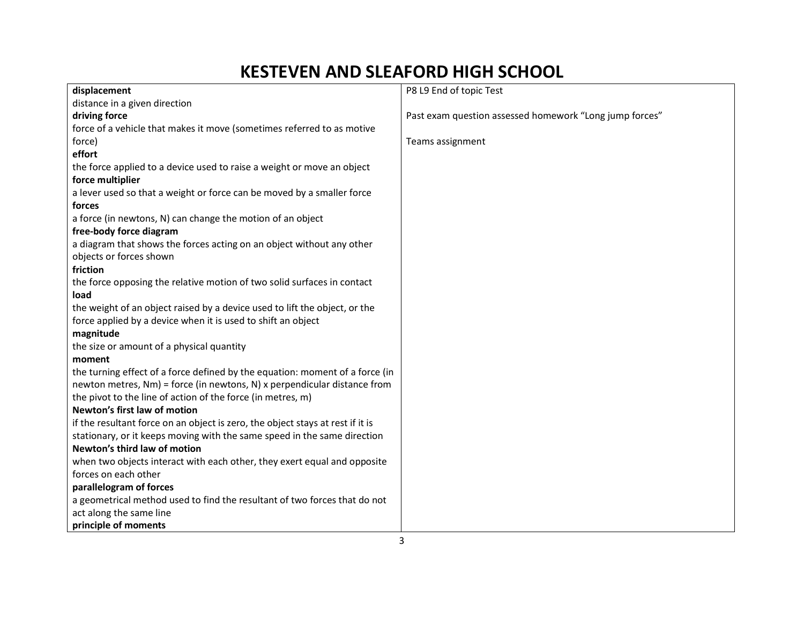| displacement                                                                   | P8 L9 End of topic Test                                 |
|--------------------------------------------------------------------------------|---------------------------------------------------------|
| distance in a given direction                                                  |                                                         |
| driving force                                                                  | Past exam question assessed homework "Long jump forces" |
| force of a vehicle that makes it move (sometimes referred to as motive         |                                                         |
| force)                                                                         | Teams assignment                                        |
| effort                                                                         |                                                         |
| the force applied to a device used to raise a weight or move an object         |                                                         |
| force multiplier                                                               |                                                         |
| a lever used so that a weight or force can be moved by a smaller force         |                                                         |
| forces                                                                         |                                                         |
| a force (in newtons, N) can change the motion of an object                     |                                                         |
| free-body force diagram                                                        |                                                         |
| a diagram that shows the forces acting on an object without any other          |                                                         |
| objects or forces shown                                                        |                                                         |
| friction                                                                       |                                                         |
| the force opposing the relative motion of two solid surfaces in contact        |                                                         |
| load                                                                           |                                                         |
| the weight of an object raised by a device used to lift the object, or the     |                                                         |
| force applied by a device when it is used to shift an object                   |                                                         |
| magnitude                                                                      |                                                         |
| the size or amount of a physical quantity                                      |                                                         |
| moment                                                                         |                                                         |
| the turning effect of a force defined by the equation: moment of a force (in   |                                                         |
| newton metres, Nm) = force (in newtons, N) x perpendicular distance from       |                                                         |
| the pivot to the line of action of the force (in metres, m)                    |                                                         |
| Newton's first law of motion                                                   |                                                         |
| if the resultant force on an object is zero, the object stays at rest if it is |                                                         |
| stationary, or it keeps moving with the same speed in the same direction       |                                                         |
| Newton's third law of motion                                                   |                                                         |
| when two objects interact with each other, they exert equal and opposite       |                                                         |
| forces on each other                                                           |                                                         |
| parallelogram of forces                                                        |                                                         |
| a geometrical method used to find the resultant of two forces that do not      |                                                         |
| act along the same line                                                        |                                                         |
| principle of moments                                                           |                                                         |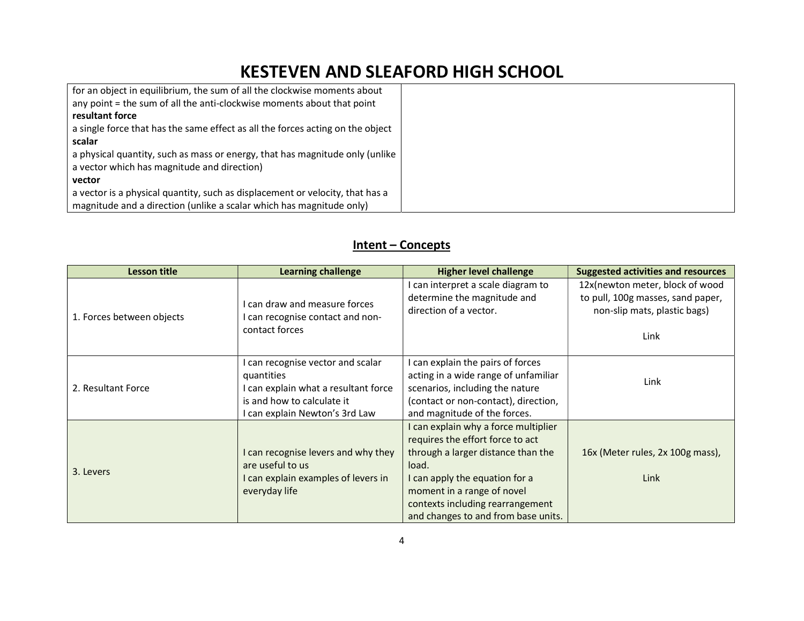| for an object in equilibrium, the sum of all the clockwise moments about       |  |
|--------------------------------------------------------------------------------|--|
| any point = the sum of all the anti-clockwise moments about that point         |  |
| resultant force                                                                |  |
| a single force that has the same effect as all the forces acting on the object |  |
| scalar                                                                         |  |
| a physical quantity, such as mass or energy, that has magnitude only (unlike   |  |
| a vector which has magnitude and direction)                                    |  |
| vector                                                                         |  |
| a vector is a physical quantity, such as displacement or velocity, that has a  |  |
| magnitude and a direction (unlike a scalar which has magnitude only)           |  |

### Intent – Concepts

| <b>Lesson title</b>       | <b>Learning challenge</b>                                                                                                                               | <b>Higher level challenge</b>                                                                                                                                                                                                                                      | <b>Suggested activities and resources</b>                                                                    |
|---------------------------|---------------------------------------------------------------------------------------------------------------------------------------------------------|--------------------------------------------------------------------------------------------------------------------------------------------------------------------------------------------------------------------------------------------------------------------|--------------------------------------------------------------------------------------------------------------|
| 1. Forces between objects | I can draw and measure forces<br>I can recognise contact and non-<br>contact forces                                                                     | I can interpret a scale diagram to<br>determine the magnitude and<br>direction of a vector.                                                                                                                                                                        | 12x(newton meter, block of wood<br>to pull, 100g masses, sand paper,<br>non-slip mats, plastic bags)<br>Link |
| 2. Resultant Force        | I can recognise vector and scalar<br>quantities<br>I can explain what a resultant force<br>is and how to calculate it<br>I can explain Newton's 3rd Law | can explain the pairs of forces<br>acting in a wide range of unfamiliar<br>scenarios, including the nature<br>(contact or non-contact), direction,<br>and magnitude of the forces.                                                                                 | Link                                                                                                         |
| 3. Levers                 | I can recognise levers and why they<br>are useful to us<br>I can explain examples of levers in<br>everyday life                                         | I can explain why a force multiplier<br>requires the effort force to act<br>through a larger distance than the<br>load.<br>I can apply the equation for a<br>moment in a range of novel<br>contexts including rearrangement<br>and changes to and from base units. | 16x (Meter rules, 2x 100g mass),<br>Link                                                                     |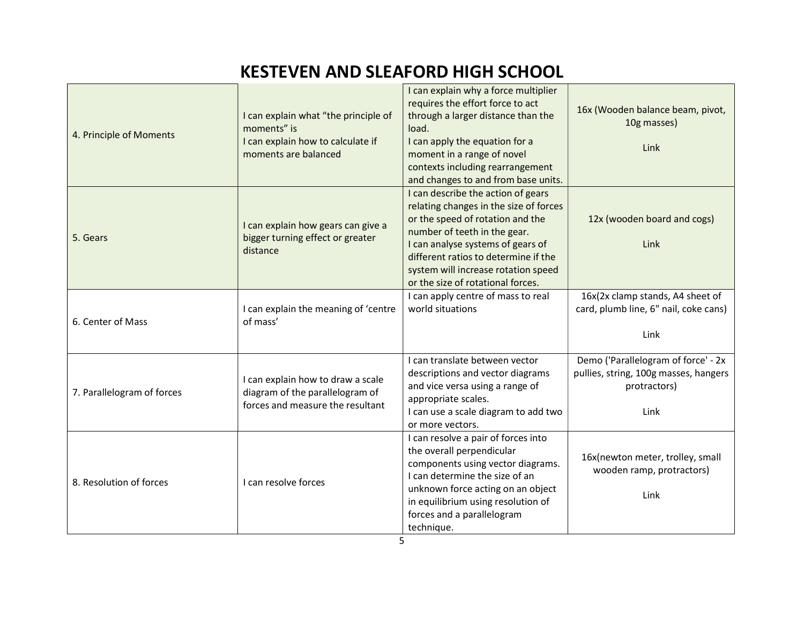| 4. Principle of Moments    | I can explain what "the principle of<br>moments" is<br>I can explain how to calculate if<br>moments are balanced | I can explain why a force multiplier<br>requires the effort force to act<br>through a larger distance than the<br>load.<br>I can apply the equation for a<br>moment in a range of novel<br>contexts including rearrangement<br>and changes to and from base units.                                        | 16x (Wooden balance beam, pivot,<br>10g masses)<br>Link                                              |
|----------------------------|------------------------------------------------------------------------------------------------------------------|-----------------------------------------------------------------------------------------------------------------------------------------------------------------------------------------------------------------------------------------------------------------------------------------------------------|------------------------------------------------------------------------------------------------------|
| 5. Gears                   | I can explain how gears can give a<br>bigger turning effect or greater<br>distance                               | I can describe the action of gears<br>relating changes in the size of forces<br>or the speed of rotation and the<br>number of teeth in the gear.<br>I can analyse systems of gears of<br>different ratios to determine if the<br>system will increase rotation speed<br>or the size of rotational forces. | 12x (wooden board and cogs)<br>Link                                                                  |
| 6. Center of Mass          | I can explain the meaning of 'centre<br>of mass'                                                                 | I can apply centre of mass to real<br>world situations                                                                                                                                                                                                                                                    | 16x(2x clamp stands, A4 sheet of<br>card, plumb line, 6" nail, coke cans)<br>Link                    |
| 7. Parallelogram of forces | I can explain how to draw a scale<br>diagram of the parallelogram of<br>forces and measure the resultant         | I can translate between vector<br>descriptions and vector diagrams<br>and vice versa using a range of<br>appropriate scales.<br>I can use a scale diagram to add two<br>or more vectors.                                                                                                                  | Demo ('Parallelogram of force' - 2x<br>pullies, string, 100g masses, hangers<br>protractors)<br>Link |
| 8. Resolution of forces    | I can resolve forces                                                                                             | I can resolve a pair of forces into<br>the overall perpendicular<br>components using vector diagrams.<br>I can determine the size of an<br>unknown force acting on an object<br>in equilibrium using resolution of<br>forces and a parallelogram<br>technique.                                            | 16x(newton meter, trolley, small<br>wooden ramp, protractors)<br>Link                                |